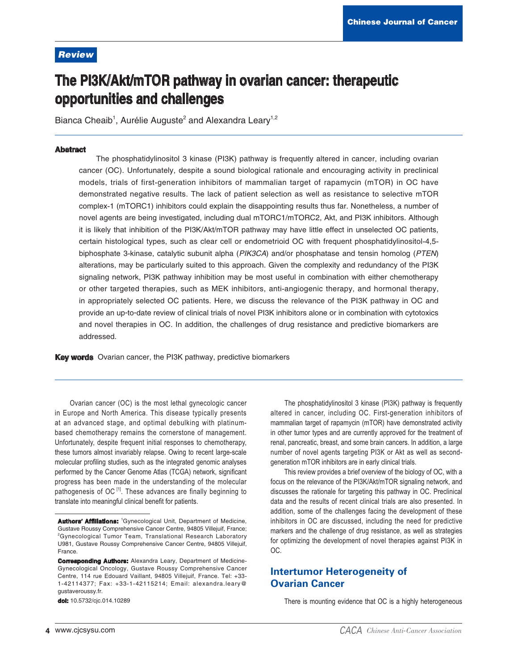## **Review**

# The PI3K/Akt/mTOR pathway in ovarian cancer: therapeutic opportunities and challenges

Bianca Cheaib<sup>1</sup>, Aurélie Auguste<sup>2</sup> and Alexandra Leary<sup>1,2</sup>

#### **Abstract**

The phosphatidylinositol 3 kinase (PI3K) pathway is frequently altered in cancer, including ovarian cancer (OC). Unfortunately, despite a sound biological rationale and encouraging activity in preclinical models, trials of first-generation inhibitors of mammalian target of rapamycin (mTOR) in OC have demonstrated negative results. The lack of patient selection as well as resistance to selective mTOR complex-1 (mTORC1) inhibitors could explain the disappointing results thus far. Nonetheless, a number of novel agents are being investigated, including dual mTORC1/mTORC2, Akt, and PI3K inhibitors. Although it is likely that inhibition of the PI3K/Akt/mTOR pathway may have little effect in unselected OC patients, certain histological types, such as clear cell or endometrioid OC with frequent phosphatidylinositol-4,5biphosphate 3-kinase, catalytic subunit alpha (PIK3CA) and/or phosphatase and tensin homolog (PTEN) alterations, may be particularly suited to this approach. Given the complexity and redundancy of the PI3K signaling network, PI3K pathway inhibition may be most useful in combination with either chemotherapy or other targeted therapies, such as MEK inhibitors, anti-angiogenic therapy, and hormonal therapy, in appropriately selected OC patients. Here, we discuss the relevance of the PI3K pathway in OC and provide an up-to-date review of clinical trials of novel PI3K inhibitors alone or in combination with cytotoxics and novel therapies in OC. In addition, the challenges of drug resistance and predictive biomarkers are addressed.

Key words Ovarian cancer, the PI3K pathway, predictive biomarkers

Ovarian cancer (OC) is the most lethal gynecologic cancer in Europe and North America. This disease typically presents at an advanced stage, and optimal debulking with platinumbased chemotherapy remains the cornerstone of management. Unfortunately, despite frequent initial responses to chemotherapy, these tumors almost invariably relapse. Owing to recent large-scale molecular profiling studies, such as the integrated genomic analyses performed by the Cancer Genome Atlas (TCGA) network, significant progress has been made in the understanding of the molecular pathogenesis of OC<sup>[1]</sup>. These advances are finally beginning to translate into meaningful clinical benefit for patients.

dol: 10.5732/cjc.014.10289

The phosphatidylinositol 3 kinase (PI3K) pathway is frequently altered in cancer, including OC. First-generation inhibitors of mammalian target of rapamycin (mTOR) have demonstrated activity in other tumor types and are currently approved for the treatment of renal, pancreatic, breast, and some brain cancers. In addition, a large number of novel agents targeting PI3K or Akt as well as secondgeneration mTOR inhibitors are in early clinical trials.

This review provides a brief overview of the biology of OC, with a focus on the relevance of the PI3K/Akt/mTOR signaling network, and discusses the rationale for targeting this pathway in OC. Preclinical data and the results of recent clinical trials are also presented. In addition, some of the challenges facing the development of these inhibitors in OC are discussed, including the need for predictive markers and the challenge of drug resistance, as well as strategies for optimizing the development of novel therapies against PI3K in OC.

# **Intertumor Heterogeneity of Ovarian Cancer**

There is mounting evidence that OC is a highly heterogeneous

Authors' Affiliations: <sup>1</sup>Gynecological Unit, Department of Medicine, Gustave Roussy Comprehensive Cancer Centre, 94805 Villejuif, France;  ${}^{2}$ Gynecological Tumor Team. Translational Research Laboratory U981, Gustave Roussy Comprehensive Cancer Centre, 94805 Villejuif, France

**Corresponding Authors:** Alexandra Leary, Department of Medicine-Gynecological Oncology, Gustave Roussy Comprehensive Cancer Centre, 114 rue Edouard Vaillant, 94805 Villejuif, France. Tel: +33-1-42114377; Fax: +33-1-42115214; Email: alexandra.leary@ gustaveroussy.fr.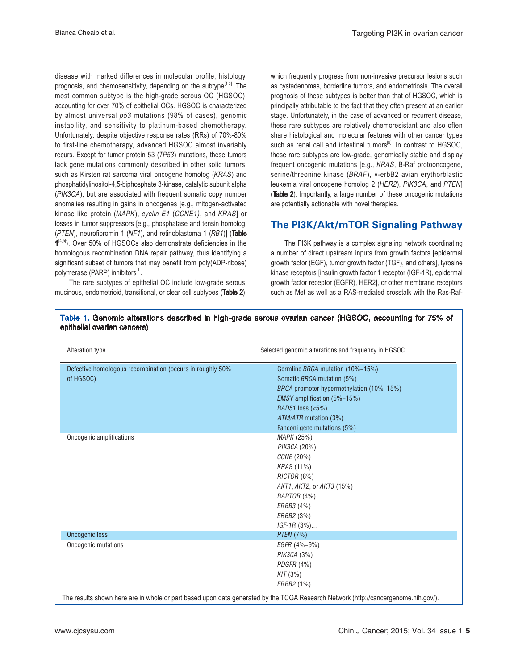disease with marked differences in molecular profile, histology, prognosis, and chemosensitivity, depending on the subtype<sup>[1-3]</sup>. The most common subtype is the high-grade serous OC (HGSOC), accounting for over 70% of epithelial OCs. HGSOC is characterized by almost universal p53 mutations (98% of cases), genomic instability, and sensitivity to platinum-based chemotherapy. Unfortunately, despite objective response rates (RRs) of 70%-80% to first-line chemotherapy, advanced HGSOC almost invariably recurs. Except for tumor protein 53 (TP53) mutations, these tumors lack gene mutations commonly described in other solid tumors, such as Kirsten rat sarcoma viral oncogene homolog (KRAS) and phosphatidylinositol-4,5-biphosphate 3-kinase, catalytic subunit alpha (PIK3CA), but are associated with frequent somatic copy number anomalies resulting in gains in oncogenes [e.g., mitogen-activated kinase like protein (MAPK), cyclin E1 (CCNE1), and KRAS] or losses in tumor suppressors [e.g., phosphatase and tensin homolog, (PTEN), neurofibromin 1 (NF1), and retinoblastoma 1 (RB1)] (Table 1<sup>[4,5]</sup>). Over 50% of HGSOCs also demonstrate deficiencies in the homologous recombination DNA repair pathway, thus identifying a significant subset of tumors that may benefit from poly(ADP-ribose) polymerase (PARP) inhibitors<sup>[1]</sup>.

 The rare subtypes of epithelial OC include low-grade serous, mucinous, endometrioid, transitional, or clear cell subtypes (Table 2), which frequently progress from non-invasive precursor lesions such as cystadenomas, borderline tumors, and endometriosis. The overall prognosis of these subtypes is better than that of HGSOC, which is principally attributable to the fact that they often present at an earlier stage. Unfortunately, in the case of advanced or recurrent disease, these rare subtypes are relatively chemoresistant and also often share histological and molecular features with other cancer types such as renal cell and intestinal tumors $^{[6]}$ . In contrast to HGSOC, these rare subtypes are low-grade, genomically stable and display frequent oncogenic mutations [e.g., KRAS, B-Raf protooncogene, serine/threonine kinase (BRAF), v-erbB2 avian erythorblastic leukemia viral oncogene homolog 2 (HER2), PIK3CA, and PTEN] (Table 2). Importantly, a large number of these oncogenic mutations are potentially actionable with novel therapies.

# The PI3K/Akt/mTOR Signaling Pathway

 The PI3K pathway is a complex signaling network coordinating a number of direct upstream inputs from growth factors [epidermal growth factor (EGF), tumor growth factor (TGF), and others], tyrosine kinase receptors [insulin growth factor 1 receptor (IGF-1R), epidermal growth factor receptor (EGFR), HER2], or other membrane receptors such as Met as well as a RAS-mediated crosstalk with the Ras-Raf-

| Table 1. Genomic alterations described in high-grade serous ovarian cancer (HGSOC, accounting for 75% of |  |
|----------------------------------------------------------------------------------------------------------|--|
| epithelial ovarian cancers)                                                                              |  |

| Alteration type                                           | Selected genomic alterations and frequency in HGSOC |
|-----------------------------------------------------------|-----------------------------------------------------|
| Defective homologous recombination (occurs in roughly 50% | Germline BRCA mutation (10%-15%)                    |
| of HGSOC)                                                 | Somatic BRCA mutation (5%)                          |
|                                                           | BRCA promoter hypermethylation (10%-15%)            |
|                                                           | EMSY amplification (5%-15%)                         |
|                                                           | RAD51 loss (<5%)                                    |
|                                                           | ATM/ATR mutation (3%)                               |
|                                                           | Fanconi gene mutations (5%)                         |
| Oncogenic amplifications                                  | MAPK (25%)                                          |
|                                                           | PIK3CA (20%)                                        |
|                                                           | CCNE (20%)                                          |
|                                                           | KRAS (11%)                                          |
|                                                           | RICTOR (6%)                                         |
|                                                           | AKT1, AKT2, or AKT3 (15%)                           |
|                                                           | RAPTOR (4%)                                         |
|                                                           | ERBB3 (4%)                                          |
|                                                           | ERBB2 (3%)                                          |
|                                                           | $IGF-1R(3\%)$                                       |
| <b>Oncogenic loss</b>                                     | <b>PTEN</b> (7%)                                    |
| Oncogenic mutations                                       | EGFR (4%-9%)                                        |
|                                                           | PIK3CA (3%)                                         |
|                                                           | PDGFR (4%)                                          |
|                                                           | KIT(3%)                                             |
|                                                           | ERBB2 (1%)                                          |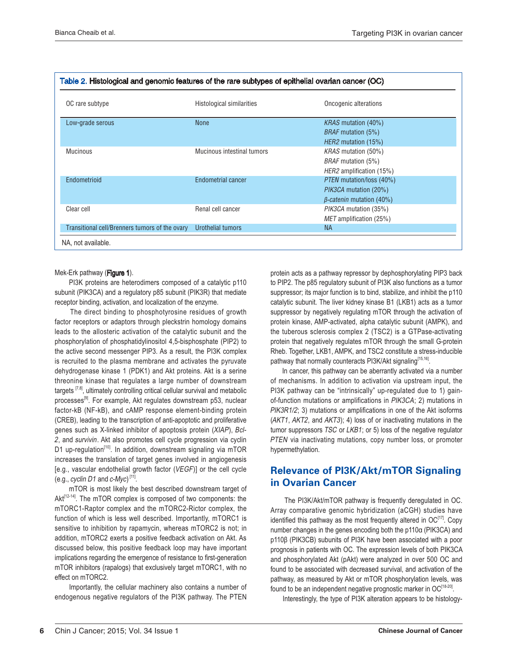| OC rare subtype                                | Histological similarities  | Oncogenic alterations           |
|------------------------------------------------|----------------------------|---------------------------------|
| Low-grade serous                               | <b>None</b>                | <i>KRAS</i> mutation (40%)      |
|                                                |                            | <i>BRAF</i> mutation (5%)       |
|                                                |                            | HER2 mutation (15%)             |
| <b>Mucinous</b>                                | Mucinous intestinal tumors | <i>KRAS</i> mutation (50%)      |
|                                                |                            | <i>BRAF</i> mutation (5%)       |
|                                                |                            | HER2 amplification (15%)        |
| Endometrioid                                   | Endometrial cancer         | PTEN mutation/loss (40%)        |
|                                                |                            | PIK3CA mutation (20%)           |
|                                                |                            | $\beta$ -catenin mutation (40%) |
| Clear cell                                     | Renal cell cancer          | PIK3CA mutation (35%)           |
|                                                |                            | <i>MET</i> amplification (25%)  |
| Transitional cell/Brenners tumors of the ovary | Urothelial tumors          | <b>NA</b>                       |

#### Mek-Erk pathway (Figure 1).

 PI3K proteins are heterodimers composed of a catalytic p110 subunit (PIK3CA) and a regulatory p85 subunit (PIK3R) that mediate receptor binding, activation, and localization of the enzyme.

 The direct binding to phosphotyrosine residues of growth factor receptors or adaptors through pleckstrin homology domains leads to the allosteric activation of the catalytic subunit and the phosphorylation of phosphatidylinositol 4,5-bisphosphate (PIP2) to the active second messenger PIP3. As a result, the PI3K complex is recruited to the plasma membrane and activates the pyruvate dehydrogenase kinase 1 (PDK1) and Akt proteins. Akt is a serine threonine kinase that regulates a large number of downstream targets  $[7,8]$ , ultimately controlling critical cellular survival and metabolic processes<sup>[9]</sup>. For example, Akt regulates downstream p53, nuclear factor-kB (NF-kB), and cAMP response element-binding protein (CREB), leading to the transcription of anti-apoptotic and proliferative genes such as X-linked inhibitor of apoptosis protein (XIAP), Bcl-2, and survivin. Akt also promotes cell cycle progression via cyclin D1 up-regulation<sup>[10]</sup>. In addition, downstream signaling via mTOR increases the translation of target genes involved in angiogenesis [e.g., vascular endothelial growth factor (VEGF)] or the cell cycle (e.g., cyclin D1 and  $c$ -Myc)<sup>[11]</sup>.

 mTOR is most likely the best described downstream target of Akt<sup>[12-14]</sup>. The mTOR complex is composed of two components: the mTORC1-Raptor complex and the mTORC2-Rictor complex, the function of which is less well described. Importantly, mTORC1 is sensitive to inhibition by rapamycin, whereas mTORC2 is not; in addition, mTORC2 exerts a positive feedback activation on Akt. As discussed below, this positive feedback loop may have important implications regarding the emergence of resistance to first-generation mTOR inhibitors (rapalogs) that exclusively target mTORC1, with no effect on mTORC2.

 Importantly, the cellular machinery also contains a number of endogenous negative regulators of the PI3K pathway. The PTEN

protein acts as a pathway repressor by dephosphorylating PIP3 back to PIP2. The p85 regulatory subunit of PI3K also functions as a tumor suppressor; its major function is to bind, stabilize, and inhibit the p110 catalytic subunit. The liver kidney kinase B1 (LKB1) acts as a tumor suppressor by negatively regulating mTOR through the activation of protein kinase, AMP-activated, alpha catalytic subunit (AMPK), and the tuberous sclerosis complex 2 (TSC2) is a GTPase-activating protein that negatively regulates mTOR through the small G-protein Rheb. Together, LKB1, AMPK, and TSC2 constitute a stress-inducible pathway that normally counteracts PI3K/Akt signaling[15,16].

 In cancer, this pathway can be aberrantly activated via a number of mechanisms. In addition to activation via upstream input, the PI3K pathway can be "intrinsically" up-regulated due to 1) gainof-function mutations or amplifications in PIK3CA; 2) mutations in  $PIK3R1/2$ ; 3) mutations or amplifications in one of the Akt isoforms (AKT1, AKT2, and AKT3); 4) loss of or inactivating mutations in the tumor suppressors TSC or LKB1; or 5) loss of the negative regulator PTEN via inactivating mutations, copy number loss, or promoter hypermethylation.

# Relevance of PI3K/Akt/mTOR Signaling in Ovarian Cancer

 The PI3K/Akt/mTOR pathway is frequently deregulated in OC. Array comparative genomic hybridization (aCGH) studies have identified this pathway as the most frequently altered in OC<sup>[17]</sup>. Copy number changes in the genes encoding both the p110α (PIK3CA) and p110β (PIK3CB) subunits of PI3K have been associated with a poor prognosis in patients with OC. The expression levels of both PIK3CA and phosphorylated Akt (pAkt) were analyzed in over 500 OC and found to be associated with decreased survival, and activation of the pathway, as measured by Akt or mTOR phosphorylation levels, was found to be an independent negative prognostic marker in  $OC^{118-20}$ .

Interestingly, the type of PI3K alteration appears to be histology-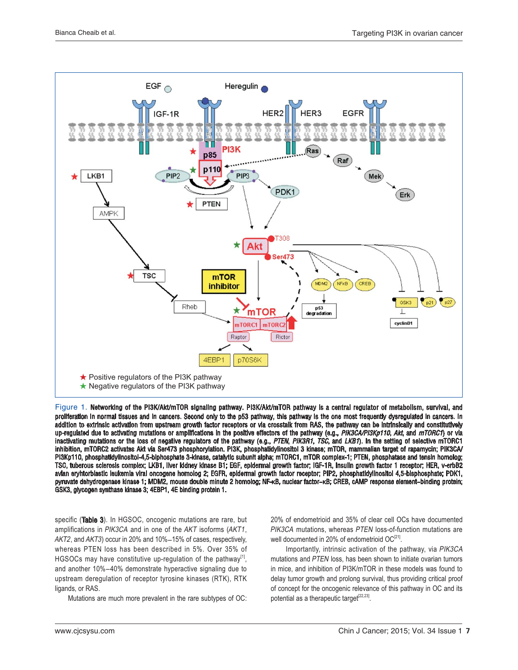

Figure 1. Networking of the PI3K/Akt/mTOR signaling pathway. PI3K/Akt/mTOR pathway is a central regulator of metabolism, survival, and proliferation in normal tissues and in cancers. Second only to the p53 pathway, this pathway is the one most frequently dysregulated in cancers. In addition to extrinsic activation from upstream growth factor receptors or via crosstalk from RAS, the pathway can be intrinsically and constitutively up-regulated due to activating mutations or amplifications in the positive effectors of the pathway (e.g., *PIK3CA/PI3Kp110, Akt*, and *mTORC1*) or via<br>inactivating mutations or the loss of negative requistors of the pathw inactivating mutations or the loss of negative regulators of the pathway (e.g., *PTEN, PIK3R1, TSC,* and *LKB1*). In the setting of selective mTORC1 inhibition, mTORC2 activates Akt via Ser473 phosphorylation. PI3K, phosphatidylinositol 3 kinase; mTOR, mammalian target of rapamycin; PIK3CA/ PI3Kp110, phosphatidylinositol-4,5-biphosphate 3-kinase, catalytic subunit alpha; mTORC1, mTOR complex-1; PTEN, phosphatase and tensin homolog; TSC, tuberous sclerosis complex; LKB1, liver kidney kinase B1; EGF, epidermal growth factor; IGF-1R, insulin growth factor 1 receptor; HER, v-erbB2 avian eryhtorblastic leukemia viral oncogene homolog 2; EGFR, epidermal growth factor receptor; PIP2, phosphatidylinositol 4,5-bisphosphate; PDK1, pyruvate dehydrogenase kinase 1; MDM2, mouse double minute 2 homolog; NF-KB, nuclear factor-KB; CREB, cAMP response element-binding protein; GSK3, glycogen synthase kinase 3; 4EBP1, 4E binding protein 1.

specific (Table 3). In HGSOC, oncogenic mutations are rare, but amplifications in PIK3CA and in one of the AKT isoforms (AKT1, AKT2, and AKT3) occur in 20% and 10%-15% of cases, respectively, whereas PTEN loss has been described in 5%. Over 35% of HGSOCs may have constitutive up-regulation of the pathway $<sup>[1]</sup>$ ,</sup> and another 10%-40% demonstrate hyperactive signaling due to upstream deregulation of receptor tyrosine kinases (RTK), RTK ligands, or RAS.

Mutations are much more prevalent in the rare subtypes of OC:

20% of endometrioid and 35% of clear cell OCs have documented PIK3CA mutations, whereas PTEN loss-of-function mutations are well documented in 20% of endometrioid OC<sup>[21]</sup>.

 Importantly, intrinsic activation of the pathway, via PIK3CA mutations and PTEN loss, has been shown to initiate ovarian tumors in mice, and inhibition of PI3K/mTOR in these models was found to delay tumor growth and prolong survival, thus providing critical proof of concept for the oncogenic relevance of this pathway in OC and its potential as a therapeutic target<sup>[22,23]</sup>.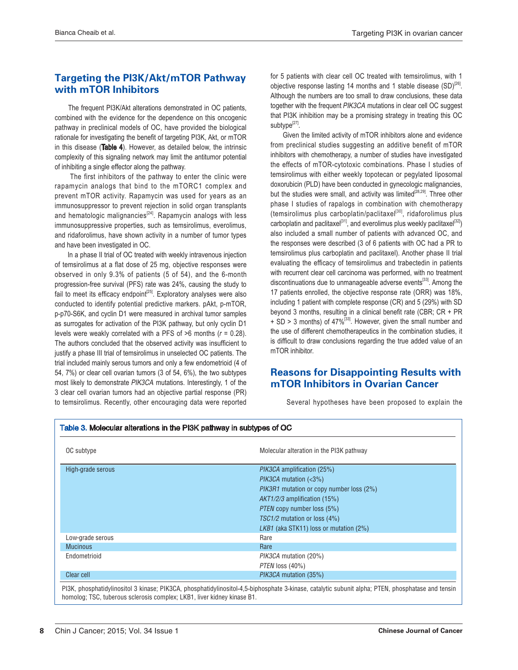# Targeting the PI3K/Akt/mTOR Pathway with mTOR Inhibitors

 The frequent PI3K/Akt alterations demonstrated in OC patients, combined with the evidence for the dependence on this oncogenic pathway in preclinical models of OC, have provided the biological rationale for investigating the benefit of targeting PI3K, Akt, or mTOR in this disease (Table 4). However, as detailed below, the intrinsic complexity of this signaling network may limit the antitumor potential of inhibiting a single effector along the pathway.

 The first inhibitors of the pathway to enter the clinic were rapamycin analogs that bind to the mTORC1 complex and prevent mTOR activity. Rapamycin was used for years as an immunosuppressor to prevent rejection in solid organ transplants and hematologic malignancies<sup>[24]</sup>. Rapamycin analogs with less immunosuppressive properties, such as temsirolimus, everolimus, and ridaforolimus, have shown activity in a number of tumor types and have been investigated in OC.

 In a phase II trial of OC treated with weekly intravenous injection of temsirolimus at a flat dose of 25 mg, objective responses were observed in only 9.3% of patients (5 of 54), and the 6-month progression-free survival (PFS) rate was 24%, causing the study to fail to meet its efficacy endpoint<sup>[25]</sup>. Exploratory analyses were also conducted to identify potential predictive markers. pAkt, p-mTOR, p-p70-S6K, and cyclin D1 were measured in archival tumor samples as surrogates for activation of the PI3K pathway, but only cyclin D1 levels were weakly correlated with a PFS of  $>6$  months ( $r = 0.28$ ). The authors concluded that the observed activity was insufficient to justify a phase III trial of temsirolimus in unselected OC patients. The trial included mainly serous tumors and only a few endometrioid (4 of 54, 7%) or clear cell ovarian tumors (3 of 54, 6%), the two subtypes most likely to demonstrate PIK3CA mutations. Interestingly, 1 of the 3 clear cell ovarian tumors had an objective partial response (PR) to temsirolimus. Recently, other encouraging data were reported

for 5 patients with clear cell OC treated with temsirolimus, with 1 objective response lasting 14 months and 1 stable disease  $(SD)^{[26]}$ . Although the numbers are too small to draw conclusions, these data together with the frequent PIK3CA mutations in clear cell OC suggest that PI3K inhibition may be a promising strategy in treating this OC subtype<sup>[27]</sup>.

 Given the limited activity of mTOR inhibitors alone and evidence from preclinical studies suggesting an additive benefit of mTOR inhibitors with chemotherapy, a number of studies have investigated the effects of mTOR-cytotoxic combinations. Phase I studies of temsirolimus with either weekly topotecan or pegylated liposomal doxorubicin (PLD) have been conducted in gynecologic malignancies, but the studies were small, and activity was limited<sup>[28,29]</sup>. Three other phase I studies of rapalogs in combination with chemotherapy (temsirolimus plus carboplatin/paclitaxel<sup>[30]</sup>, ridaforolimus plus carboplatin and paclitaxel<sup>[31]</sup>, and everolimus plus weekly paclitaxel<sup>[32]</sup>) also included a small number of patients with advanced OC, and the responses were described (3 of 6 patients with OC had a PR to temsirolimus plus carboplatin and paclitaxel). Another phase II trial evaluating the efficacy of temsirolimus and trabectedin in patients with recurrent clear cell carcinoma was performed, with no treatment discontinuations due to unmanageable adverse events<sup>[33]</sup>. Among the 17 patients enrolled, the objective response rate (ORR) was 18%, including 1 patient with complete response (CR) and 5 (29%) with SD beyond 3 months, resulting in a clinical benefit rate (CBR; CR + PR  $+$  SD > 3 months) of 47%<sup>[33]</sup>. However, given the small number and the use of different chemotherapeutics in the combination studies, it is difficult to draw conclusions regarding the true added value of an mTOR inhibitor.

# **Reasons for Disappointing Results with** mTOR Inhibitors in Ovarian Cancer

Several hypotheses have been proposed to explain the

| OC subtype        | Molecular alteration in the PI3K pathway |
|-------------------|------------------------------------------|
| High-grade serous | <i>PIK3CA</i> amplification (25%)        |
|                   | $PIK3CA$ mutation $(3\%)$                |
|                   | PIK3R1 mutation or copy number loss (2%) |
|                   | $AKT1/2/3$ amplification (15%)           |
|                   | <i>PTEN</i> copy number loss (5%)        |
|                   | TSC1/2 mutation or loss (4%)             |
|                   | LKB1 (aka STK11) loss or mutation (2%)   |
| Low-grade serous  | Rare                                     |
| <b>Mucinous</b>   | Rare                                     |
| Endometrioid      | <i>PIK3CA</i> mutation (20%)             |
|                   | PTEN loss (40%)                          |
| Clear cell        | PIK3CA mutation (35%)                    |

PI3K, phosphatidylinositol 3 kinase; PIK3CA, phosphatidylinositol-4,5-biphosphate 3-kinase, catalytic subunit alpha; PTEN, phosphatase and tensin homolog; TSC, tuberous sclerosis complex; LKB1, liver kidney kinase B1.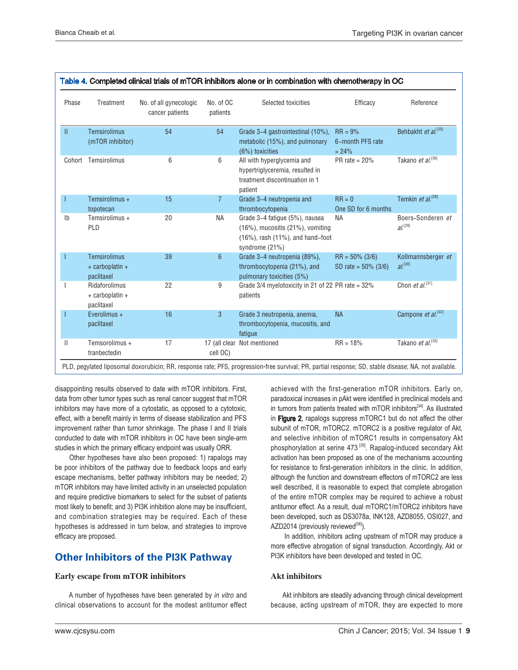| Phase          | Treatment                                            | No. of all gynecologic<br>cancer patients | No. of OC<br>patients | Selected toxicities                                                                                                                               | Efficacy                                 | Reference                                   |
|----------------|------------------------------------------------------|-------------------------------------------|-----------------------|---------------------------------------------------------------------------------------------------------------------------------------------------|------------------------------------------|---------------------------------------------|
| $\mathbf{II}$  | <b>Temsirolimus</b><br>(mTOR inhibitor)              | 54                                        | 54                    | Grade 3-4 gastrointestinal (10%),<br>metabolic (15%), and pulmonary<br>(6%) toxicities                                                            | $RR = 9%$<br>6-month PFS rate<br>$= 24%$ | Behbakht et al. <sup>[25]</sup>             |
|                | Cohort Temsirolimus                                  | 6                                         | 6                     | All with hyperglycemia and<br>hypertriglyceremia, resulted in<br>treatment discontinuation in 1<br>patient                                        | PR rate $= 20%$                          | Takano et al. <sup>[26]</sup>               |
|                | Temsirolimus +                                       | 15                                        | $\overline{7}$        | Grade 3-4 neutropenia and                                                                                                                         | $RR = 0$                                 | Temkin et al. <sup>[28]</sup>               |
|                | topotecan                                            |                                           |                       | thrombocytopenia                                                                                                                                  | One SD for 6 months                      |                                             |
| I <sub>b</sub> | Temsirolimus +<br>PLD                                | 20                                        | <b>NA</b>             | Grade 3-4 fatigue (5%), nausea<br><b>NA</b><br>$(16%)$ , mucositis $(21%)$ , vomiting<br>$(16%)$ , rash $(11%)$ , and hand-foot<br>syndrome (21%) |                                          | Boers-Sonderen et<br>$Al^{[29]}$            |
|                | <b>Temsirolimus</b><br>+ carboplatin +<br>paclitaxel | 39                                        | $6\phantom{1}$        | $RR = 50\%$ (3/6)<br>Grade 3-4 neutropenia (89%),<br>thrombocytopenia (21%), and<br>SD rate = $50\%$ (3/6)<br>pulmonary toxicities (5%)           |                                          | Kollmannsberger et<br>$al.$ <sup>[30]</sup> |
|                | Ridaforolimus<br>+ carboplatin +<br>paclitaxel       | 22                                        | 9                     | Grade 3/4 myelotoxicity in 21 of 22 PR rate = 32%<br>patients                                                                                     |                                          | Chon et $al.^{[31]}$                        |
|                | Everolimus +<br>paclitaxel                           | 16                                        | 3                     | Grade 3 neutropenia, anemia,<br>thrombocytopenia, mucositis, and<br>fatique                                                                       | <b>NA</b>                                | Campone et al. <sup>[32]</sup>              |
| $\mathbf{  }$  | Temsorolimus +<br>tranbectedin                       | 17                                        | cell OC)              | 17 (all clear Not mentioned                                                                                                                       | $RR = 18%$                               | Takano et al. <sup>[33]</sup>               |

| Table 4. Completed clinical trials of mTOR inhibitors alone or in combination with chemotherapy in OC |  |
|-------------------------------------------------------------------------------------------------------|--|
|-------------------------------------------------------------------------------------------------------|--|

disappointing results observed to date with mTOR inhibitors. First, data from other tumor types such as renal cancer suggest that mTOR inhibitors may have more of a cytostatic, as opposed to a cytotoxic, effect, with a benefit mainly in terms of disease stabilization and PFS improvement rather than tumor shrinkage. The phase I and II trials conducted to date with mTOR inhibitors in OC have been single-arm studies in which the primary efficacy endpoint was usually ORR.

 Other hypotheses have also been proposed: 1) rapalogs may be poor inhibitors of the pathway due to feedback loops and early escape mechanisms, better pathway inhibitors may be needed; 2) mTOR inhibitors may have limited activity in an unselected population and require predictive biomarkers to select for the subset of patients most likely to benefit; and 3) PI3K inhibition alone may be insufficient, and combination strategies may be required. Each of these hypotheses is addressed in turn below, and strategies to improve efficacy are proposed.

# Other Inhibitors of the PI3K Pathway

#### Early escape from mTOR inhibitors

 A number of hypotheses have been generated by in vitro and clinical observations to account for the modest antitumor effect

achieved with the first-generation mTOR inhibitors. Early on, paradoxical increases in pAkt were identified in preclinical models and in tumors from patients treated with mTOR inhibitors<sup>[34]</sup>. As illustrated in Figure 2, rapalogs suppress mTORC1 but do not affect the other subunit of mTOR, mTORC2. mTORC2 is a positive regulator of Akt, and selective inhibition of mTORC1 results in compensatory Akt phosphorylation at serine 473<sup>[35]</sup>. Rapalog-induced secondary Akt activation has been proposed as one of the mechanisms accounting for resistance to first-generation inhibitors in the clinic. In addition, although the function and downstream effectors of mTORC2 are less well described, it is reasonable to expect that complete abrogation of the entire mTOR complex may be required to achieve a robust antitumor effect. As a result, dual mTORC1/mTORC2 inhibitors have been developed, such as DS3078a, INK128, AZD8055, OSI027, and AZD2014 (previously reviewed<sup>[36]</sup>).

 In addition, inhibitors acting upstream of mTOR may produce a more effective abrogation of signal transduction. Accordingly, Akt or PI3K inhibitors have been developed and tested in OC.

### Akt inhibitors

 Akt inhibitors are steadily advancing through clinical development because, acting upstream of mTOR, they are expected to more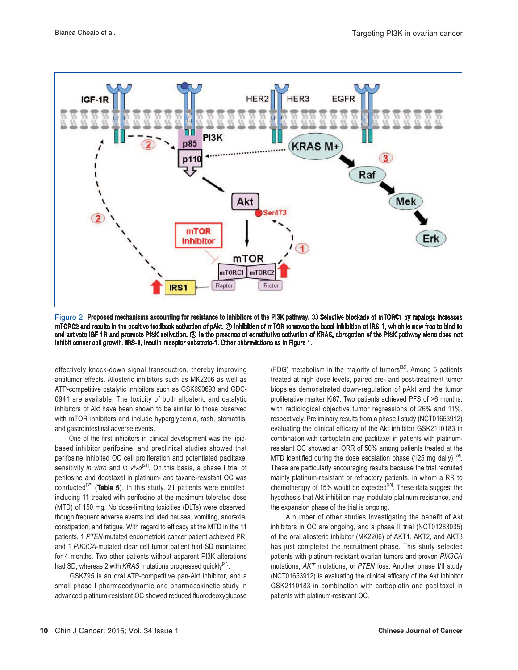

Figure 2. Proposed mechanisms accounting for resistance to inhibitors of the PI3K pathway. ① Selective blockade of mTORC1 by rapalogs increases mTORC2 and results in the positive feedback activation of pAkt. 2 Inhibition of mTOR removes the basal inhibition of IRS-1, which is now free to bind to and activate IGF-1R and promote PI3K activation. 3 In the presence of constitutive activation of KRAS, abrogation of the PI3K pathway alone does not inhibit cancer cell growth. IRS-1, insulin receptor substrate-1. Other abbreviations as in Figure 1.

effectively knock-down signal transduction, thereby improving antitumor effects. Allosteric inhibitors such as MK2206 as well as ATP-competitive catalytic inhibitors such as GSK690693 and GDC-0941 are available. The toxicity of both allosteric and catalytic inhibitors of Akt have been shown to be similar to those observed with mTOR inhibitors and include hyperglycemia, rash, stomatitis, and gastrointestinal adverse events.

One of the first inhibitors in clinical development was the lipidbased inhibitor perifosine, and preclinical studies showed that perifosine inhibited OC cell proliferation and potentiated paclitaxel sensitivity in vitro and in vivo<sup>[21]</sup>. On this basis, a phase I trial of perifosine and docetaxel in platinum- and taxane-resistant OC was conducted $^{[37]}$  (Table 5). In this study, 21 patients were enrolled, including 11 treated with perifosine at the maximum tolerated dose (MTD) of 150 mg. No dose-limiting toxicities (DLTs) were observed, though frequent adverse events included nausea, vomiting, anorexia, constipation, and fatigue. With regard to efficacy at the MTD in the 11 patients, 1 PTEN-mutated endometrioid cancer patient achieved PR, and 1 PIK3CA-mutated clear cell tumor patient had SD maintained for 4 months. Two other patients without apparent PI3K alterations had SD, whereas 2 with KRAS mutations progressed quickly<sup>[37]</sup>.

 GSK795 is an oral ATP-competitive pan-Akt inhibitor, and a small phase I pharmacodynamic and pharmacokinetic study in advanced platinum-resistant OC showed reduced fluorodeoxyglucose

 $(FDG)$  metabolism in the majority of tumors<sup>[38]</sup>. Among 5 patients treated at high dose levels, paired pre- and post-treatment tumor biopsies demonstrated down-regulation of pAkt and the tumor proliferative marker Ki67. Two patients achieved PFS of >6 months, with radiological objective tumor regressions of 26% and 11%, respectively. Preliminary results from a phase I study (NCT01653912) evaluating the clinical efficacy of the Akt inhibitor GSK2110183 in combination with carboplatin and paclitaxel in patients with platinumresistant OC showed an ORR of 50% among patients treated at the MTD identified during the dose escalation phase (125 mg daily)<sup>[39]</sup>. These are particularly encouraging results because the trial recruited mainly platinum-resistant or refractory patients, in whom a RR to chemotherapy of 15% would be expected<sup>[40]</sup>. These data suggest the hypothesis that Akt inhibition may modulate platinum resistance, and the expansion phase of the trial is ongoing.

 A number of other studies investigating the benefit of Akt inhibitors in OC are ongoing, and a phase II trial (NCT01283035) of the oral allosteric inhibitor (MK2206) of AKT1, AKT2, and AKT3 has just completed the recruitment phase. This study selected patients with platinum-resistant ovarian tumors and proven PIK3CA mutations, AKT mutations, or PTEN loss. Another phase I/II study (NCT01653912) is evaluating the clinical efficacy of the Akt inhibitor GSK2110183 in combination with carboplatin and paclitaxel in patients with platinum-resistant OC.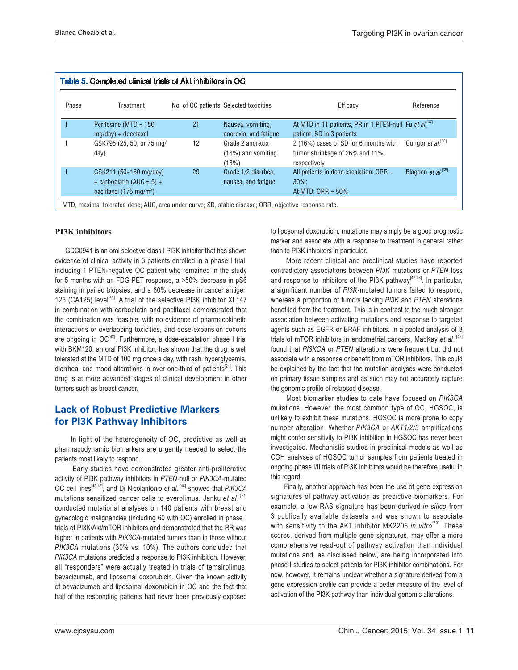| Phase | Treatment                                                                                     |    | No. of OC patients Selected toxicities            | Efficacy                                                                                        | Reference                      |
|-------|-----------------------------------------------------------------------------------------------|----|---------------------------------------------------|-------------------------------------------------------------------------------------------------|--------------------------------|
|       | Perifosine ( $MTD = 150$<br>mg/day) + docetaxel                                               | 21 | Nausea, vomiting,<br>anorexia, and fatique        | At MTD in 11 patients, PR in 1 PTEN-null Fu et al. <sup>[37]</sup><br>patient, SD in 3 patients |                                |
|       | GSK795 (25, 50, or 75 mg/<br>day)                                                             | 12 | Grade 2 anorexia<br>$(18%)$ and vomiting<br>(18%) | 2 (16%) cases of SD for 6 months with<br>tumor shrinkage of 26% and 11%,<br>respectively        | Gungor et al. <sup>[38]</sup>  |
|       | GSK211 (50-150 mg/day)<br>+ carboplatin (AUC = $5$ ) +<br>paclitaxel (175 mg/m <sup>2</sup> ) | 29 | Grade 1/2 diarrhea.<br>nausea, and fatique        | All patients in dose escalation: $ORR =$<br>$30\%$ :<br>At MTD: ORR = $50\%$                    | Blagden et al. <sup>[39]</sup> |

### PI3K inhibitors

 GDC0941 is an oral selective class I PI3K inhibitor that has shown evidence of clinical activity in 3 patients enrolled in a phase I trial, including 1 PTEN-negative OC patient who remained in the study for 5 months with an FDG-PET response, a >50% decrease in pS6 staining in paired biopsies, and a 80% decrease in cancer antigen 125 (CA125) level<sup>[41]</sup>. A trial of the selective PI3K inhibitor XL147 in combination with carboplatin and paclitaxel demonstrated that the combination was feasible, with no evidence of pharmacokinetic interactions or overlapping toxicities, and dose-expansion cohorts are ongoing in  $OC^{[42]}$ . Furthermore, a dose-escalation phase I trial with BKM120, an oral PI3K inhibitor, has shown that the drug is well tolerated at the MTD of 100 mg once a day, with rash, hyperglycemia, diarrhea, and mood alterations in over one-third of patients<sup>[21]</sup>. This drug is at more advanced stages of clinical development in other tumors such as breast cancer.

# **Lack of Robust Predictive Markers** for PI3K Pathway Inhibitors

 In light of the heterogeneity of OC, predictive as well as pharmacodynamic biomarkers are urgently needed to select the patients most likely to respond.

 Early studies have demonstrated greater anti-proliferative activity of PI3K pathway inhibitors in PTEN-null or PIK3CA-mutated OC cell lines<sup>[43-45]</sup>, and Di Nicolantonio et al.<sup>[46]</sup> showed that PIK3CA mutations sensitized cancer cells to everolimus. Janku et al. [21] conducted mutational analyses on 140 patients with breast and gynecologic malignancies (including 60 with OC) enrolled in phase I trials of PI3K/Akt/mTOR inhibitors and demonstrated that the RR was higher in patients with PIK3CA-mutated tumors than in those without PIK3CA mutations (30% vs. 10%). The authors concluded that PIK3CA mutations predicted a response to PI3K inhibition. However, all "responders" were actually treated in trials of temsirolimus, bevacizumab, and liposomal doxorubicin. Given the known activity of bevacizumab and liposomal doxorubicin in OC and the fact that half of the responding patients had never been previously exposed

to liposomal doxorubicin, mutations may simply be a good prognostic marker and associate with a response to treatment in general rather than to PI3K inhibitors in particular.

 More recent clinical and preclinical studies have reported contradictory associations between PI3K mutations or PTEN loss and response to inhibitors of the PI3K pathway<sup>[47,48]</sup>. In particular, a significant number of PI3K-mutated tumors failed to respond, whereas a proportion of tumors lacking PI3K and PTEN alterations benefited from the treatment. This is in contrast to the much stronger association between activating mutations and response to targeted agents such as EGFR or BRAF inhibitors. In a pooled analysis of 3 trials of mTOR inhibitors in endometrial cancers, MacKay et al. [49] found that PI3KCA or PTEN alterations were frequent but did not associate with a response or benefit from mTOR inhibitors. This could be explained by the fact that the mutation analyses were conducted on primary tissue samples and as such may not accurately capture the genomic profile of relapsed disease.

 Most biomarker studies to date have focused on PIK3CA mutations. However, the most common type of OC, HGSOC, is unlikely to exhibit these mutations. HGSOC is more prone to copy number alteration. Whether PIK3CA or AKT1/2/3 amplifications might confer sensitivity to PI3K inhibition in HGSOC has never been investigated. Mechanistic studies in preclinical models as well as CGH analyses of HGSOC tumor samples from patients treated in ongoing phase I/II trials of PI3K inhibitors would be therefore useful in this regard.

 Finally, another approach has been the use of gene expression signatures of pathway activation as predictive biomarkers. For example, a low-RAS signature has been derived in silico from 3 publically available datasets and was shown to associate with sensitivity to the AKT inhibitor MK2206 in vitro<sup>[50]</sup>. These scores, derived from multiple gene signatures, may offer a more comprehensive read-out of pathway activation than individual mutations and, as discussed below, are being incorporated into phase I studies to select patients for PI3K inhibitor combinations. For now, however, it remains unclear whether a signature derived from a gene expression profile can provide a better measure of the level of activation of the PI3K pathway than individual genomic alterations.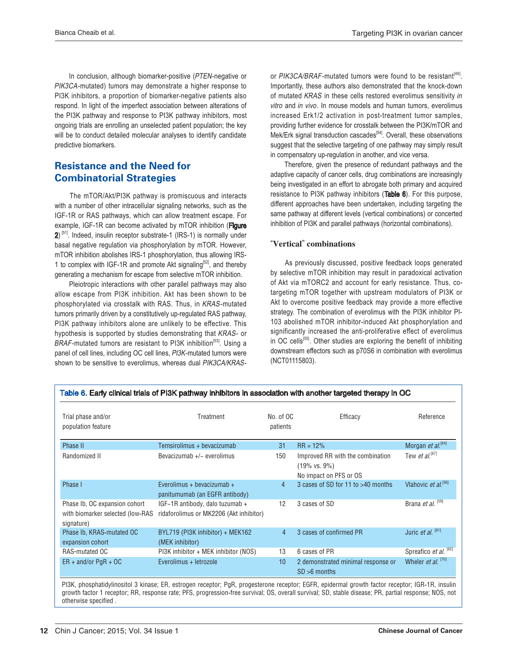In conclusion, although biomarker-positive (PTEN-negative or PIK3CA-mutated) tumors may demonstrate a higher response to PI3K inhibitors, a proportion of biomarker-negative patients also respond. In light of the imperfect association between alterations of the PI3K pathway and response to PI3K pathway inhibitors, most ongoing trials are enrolling an unselected patient population; the key will be to conduct detailed molecular analyses to identify candidate predictive biomarkers.

# **Resistance and the Need for Combinatorial Strategies**

 The mTOR/Akt/PI3K pathway is promiscuous and interacts with a number of other intracellular signaling networks, such as the IGF-1R or RAS pathways, which can allow treatment escape. For example, IGF-1R can become activated by mTOR inhibition (Figure  $2$ <sup>[51]</sup>. Indeed, insulin receptor substrate-1 (IRS-1) is normally under basal negative regulation via phosphorylation by mTOR. However, mTOR inhibition abolishes IRS-1 phosphorylation, thus allowing IRS-1 to complex with IGF-1R and promote Akt signaling<sup>[52]</sup>, and thereby generating a mechanism for escape from selective mTOR inhibition.

 Pleiotropic interactions with other parallel pathways may also allow escape from PI3K inhibition. Akt has been shown to be phosphorylated via crosstalk with RAS. Thus, in KRAS-mutated tumors primarily driven by a constitutively up-regulated RAS pathway, PI3K pathway inhibitors alone are unlikely to be effective. This hypothesis is supported by studies demonstrating that KRAS- or BRAF-mutated tumors are resistant to PI3K inhibition<sup>[53]</sup>. Using a panel of cell lines, including OC cell lines, PI3K-mutated tumors were shown to be sensitive to everolimus, whereas dual PIK3CA/KRAS-

or PIK3CA/BRAF-mutated tumors were found to be resistant<sup>[46]</sup>. Importantly, these authors also demonstrated that the knock-down of mutated KRAS in these cells restored everolimus sensitivity in vitro and in vivo. In mouse models and human tumors, everolimus increased Erk1/2 activation in post-treatment tumor samples, providing further evidence for crosstalk between the PI3K/mTOR and Mek/Erk signal transduction cascades<sup>[54]</sup>. Overall, these observations suggest that the selective targeting of one pathway may simply result in compensatory up-regulation in another, and vice versa.

 Therefore, given the presence of redundant pathways and the adaptive capacity of cancer cells, drug combinations are increasingly being investigated in an effort to abrogate both primary and acquired resistance to PI3K pathway inhibitors (Table 6). For this purpose, different approaches have been undertaken, including targeting the same pathway at different levels (vertical combinations) or concerted inhibition of PI3K and parallel pathways (horizontal combinations).

#### "Vertical" combinations

 As previously discussed, positive feedback loops generated by selective mTOR inhibition may result in paradoxical activation of Akt via mTORC2 and account for early resistance. Thus, cotargeting mTOR together with upstream modulators of PI3K or Akt to overcome positive feedback may provide a more effective strategy. The combination of everolimus with the PI3K inhibitor PI-103 abolished mTOR inhibitor-induced Akt phosphorylation and significantly increased the anti-proliferative effect of everolimus in OC cells<sup>[55]</sup>. Other studies are exploring the benefit of inhibiting downstream effectors such as p70S6 in combination with everolimus (NCT01115803).

| Trial phase and/or<br>population feature                                        | Treatment                                                                  | No. of OC<br>patients | Efficacy                                                                                | Reference                              |
|---------------------------------------------------------------------------------|----------------------------------------------------------------------------|-----------------------|-----------------------------------------------------------------------------------------|----------------------------------------|
| Phase II                                                                        | Temsirolimus + bevacizumab                                                 | 31                    | $RR = 12%$                                                                              | Morgan et $al^{[64]}$                  |
| Randomized II                                                                   | Bevacizumab +/- everolimus                                                 | 150                   | Improved RR with the combination<br>$(19\% \text{ vs. } 9\%)$<br>No impact on PFS or OS | Tew et al. <sup>[67]</sup>             |
| Phase I                                                                         | Everolimus + bevacizumab +<br>panitumumab (an EGFR antibody)               | $\overline{4}$        | 3 cases of SD for 11 to >40 months                                                      | Vlahovic <i>et al.</i> <sup>[56]</sup> |
| Phase Ib, OC expansion cohort<br>with biomarker selected (low-RAS<br>signature) | IGF-1R antibody, dalo tuzumab +<br>ridaforolimus or MK2206 (Akt inhibitor) | 12                    | 3 cases of SD                                                                           | Brana et al. [59]                      |
| Phase Ib, KRAS-mutated OC<br>expansion cohort                                   | BYL719 (PI3K inhibitor) + MEK162<br>(MEK inhibitor)                        | $\overline{4}$        | 3 cases of confirmed PR                                                                 | Juric <i>et al.</i> $^{[61]}$          |
| RAS-mutated OC                                                                  | PI3K inhibitor + MEK inhibitor (NOS)                                       | 13                    | 6 cases of PR                                                                           | Spreafico et al. [62]                  |
| $ER + and/or PgR + OC$                                                          | Everolimus + letrozole                                                     | 10                    | 2 demonstrated minimal response or<br>$SD > 6$ months                                   | Wheler <i>et al.</i> <sup>[70]</sup>   |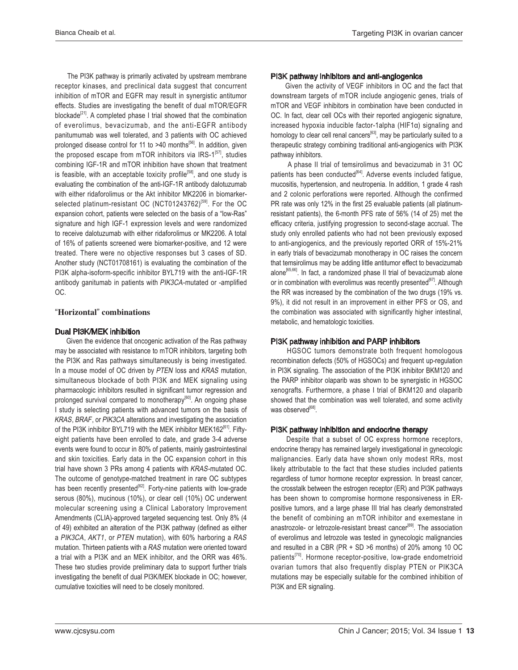The PI3K pathway is primarily activated by upstream membrane receptor kinases, and preclinical data suggest that concurrent inhibition of mTOR and EGFR may result in synergistic antitumor effects. Studies are investigating the benefit of dual mTOR/EGFR blockade<sup>[21]</sup>. A completed phase I trial showed that the combination of everolimus, bevacizumab, and the anti-EGFR antibody panitumumab was well tolerated, and 3 patients with OC achieved prolonged disease control for 11 to >40 months<sup>[56]</sup>. In addition, given the proposed escape from  $mTOR$  inhibitors via IRS- $1^{[57]}$ , studies combining IGF-1R and mTOR inhibition have shown that treatment is feasible, with an acceptable toxicity profile<sup>[58]</sup>, and one study is evaluating the combination of the anti-IGF-1R antibody dalotuzumab with either ridaforolimus or the Akt inhibitor MK2206 in biomarkerselected platinum-resistant OC (NCT01243762)<sup>[59]</sup>. For the OC expansion cohort, patients were selected on the basis of a "low-Ras" signature and high IGF-1 expression levels and were randomized to receive dalotuzumab with either ridaforolimus or MK2206. A total of 16% of patients screened were biomarker-positive, and 12 were treated. There were no objective responses but 3 cases of SD. Another study (NCT01708161) is evaluating the combination of the PI3K alpha-isoform-specific inhibitor BYL719 with the anti-IGF-1R antibody ganitumab in patients with PIK3CA-mutated or -amplified OC.

#### "Horizontal" combinations

#### Dual PI3K/MEK inhibition

 Given the evidence that oncogenic activation of the Ras pathway may be associated with resistance to mTOR inhibitors, targeting both the PI3K and Ras pathways simultaneously is being investigated. In a mouse model of OC driven by PTEN loss and KRAS mutation, simultaneous blockade of both PI3K and MEK signaling using pharmacologic inhibitors resulted in significant tumor regression and prolonged survival compared to monotherapy<sup>[60]</sup>. An ongoing phase I study is selecting patients with advanced tumors on the basis of KRAS, BRAF, or PIK3CA alterations and investigating the association of the PI3K inhibitor BYL719 with the MEK inhibitor MEK162<sup>[61]</sup>. Fiftyeight patients have been enrolled to date, and grade 3-4 adverse events were found to occur in 80% of patients, mainly gastrointestinal and skin toxicities. Early data in the OC expansion cohort in this trial have shown 3 PRs among 4 patients with KRAS-mutated OC. The outcome of genotype-matched treatment in rare OC subtypes has been recently presented<sup>[62]</sup>. Forty-nine patients with low-grade serous (80%), mucinous (10%), or clear cell (10%) OC underwent molecular screening using a Clinical Laboratory Improvement Amendments (CLIA)-approved targeted sequencing test. Only 8% (4 of 49) exhibited an alteration of the PI3K pathway (defined as either a PIK3CA, AKT1, or PTEN mutation), with 60% harboring a RAS mutation. Thirteen patients with a RAS mutation were oriented toward a trial with a PI3K and an MEK inhibitor, and the ORR was 46%. These two studies provide preliminary data to support further trials investigating the benefit of dual PI3K/MEK blockade in OC; however, cumulative toxicities will need to be closely monitored.

#### PI3K pathway inhibitors and anti-angiogenics

 Given the activity of VEGF inhibitors in OC and the fact that downstream targets of mTOR include angiogenic genes, trials of mTOR and VEGF inhibitors in combination have been conducted in OC. In fact, clear cell OCs with their reported angiogenic signature, increased hypoxia inducible factor-1alpha (HIF1a) signaling and homology to clear cell renal cancers<sup>[63]</sup>, may be particularly suited to a therapeutic strategy combining traditional anti-angiogenics with PI3K pathway inhibitors.

 A phase II trial of temsirolimus and bevacizumab in 31 OC patients has been conducted<sup>[64]</sup>. Adverse events included fatigue, mucositis, hypertension, and neutropenia. In addition, 1 grade 4 rash and 2 colonic perforations were reported. Although the confirmed PR rate was only 12% in the first 25 evaluable patients (all platinumresistant patients), the 6-month PFS rate of 56% (14 of 25) met the efficacy criteria, justifying progression to second-stage accrual. The study only enrolled patients who had not been previously exposed to anti-angiogenics, and the previously reported ORR of 15%-21% in early trials of bevacizumab monotherapy in OC raises the concern that temsirolimus may be adding little antitumor effect to bevacizumab alone<sup>[65,66]</sup>. In fact, a randomized phase II trial of bevacizumab alone or in combination with everolimus was recently presented<sup>[67]</sup>. Although the RR was increased by the combination of the two drugs (19% vs. 9%), it did not result in an improvement in either PFS or OS, and the combination was associated with significantly higher intestinal, metabolic, and hematologic toxicities.

#### PI3K pathway inhibition and PARP inhibitors

 HGSOC tumors demonstrate both frequent homologous recombination defects (50% of HGSOCs) and frequent up-regulation in PI3K signaling. The association of the PI3K inhibitor BKM120 and the PARP inhibitor olaparib was shown to be synergistic in HGSOC xenografts. Furthermore, a phase I trial of BKM120 and olaparib showed that the combination was well tolerated, and some activity was observed<sup>[68]</sup>.

#### PI3K pathway inhibition and endocrine therapy

 Despite that a subset of OC express hormone receptors, endocrine therapy has remained largely investigational in gynecologic malignancies. Early data have shown only modest RRs, most likely attributable to the fact that these studies included patients regardless of tumor hormone receptor expression. In breast cancer, the crosstalk between the estrogen receptor (ER) and PI3K pathways has been shown to compromise hormone responsiveness in ERpositive tumors, and a large phase III trial has clearly demonstrated the benefit of combining an mTOR inhibitor and exemestane in anastrozole- or letrozole-resistant breast cancer<sup>[69]</sup>. The association of everolimus and letrozole was tested in gynecologic malignancies and resulted in a CBR (PR  $+$  SD  $>6$  months) of 20% among 10 OC patients<sup>[70]</sup>. Hormone receptor-positive, low-grade endometrioid ovarian tumors that also frequently display PTEN or PIK3CA mutations may be especially suitable for the combined inhibition of PI3K and ER signaling.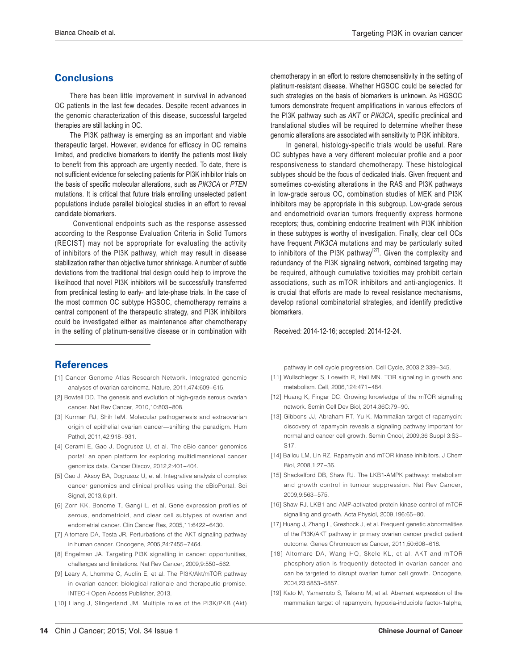# **Conclusions**

 There has been little improvement in survival in advanced OC patients in the last few decades. Despite recent advances in the genomic characterization of this disease, successful targeted therapies are still lacking in OC.

 The PI3K pathway is emerging as an important and viable therapeutic target. However, evidence for efficacy in OC remains limited, and predictive biomarkers to identify the patients most likely to benefit from this approach are urgently needed. To date, there is not sufficient evidence for selecting patients for PI3K inhibitor trials on the basis of specific molecular alterations, such as PIK3CA or PTEN mutations. It is critical that future trials enrolling unselected patient populations include parallel biological studies in an effort to reveal candidate biomarkers.

 Conventional endpoints such as the response assessed according to the Response Evaluation Criteria in Solid Tumors (RECIST) may not be appropriate for evaluating the activity of inhibitors of the PI3K pathway, which may result in disease stabilization rather than objective tumor shrinkage. A number of subtle deviations from the traditional trial design could help to improve the likelihood that novel PI3K inhibitors will be successfully transferred from preclinical testing to early- and late-phase trials. In the case of the most common OC subtype HGSOC, chemotherapy remains a central component of the therapeutic strategy, and PI3K inhibitors could be investigated either as maintenance after chemotherapy in the setting of platinum-sensitive disease or in combination with

# **References**

- [1] Cancer Genome Atlas Research Network. Integrated genomic analyses of ovarian carcinoma. Nature, 2011,474:609-615.
- [2] Bowtell DD. The genesis and evolution of high-grade serous ovarian cancer, Nat Rev Cancer, 2010.10:803-808.
- [3] Kurman RJ, Shih leM. Molecular pathogenesis and extraovarian origin of epithelial ovarian cancer-shifting the paradigm. Hum Pathol, 2011, 42: 918 - 931.
- [4] Cerami E, Gao J, Dogrusoz U, et al. The cBio cancer genomics portal: an open platform for exploring multidimensional cancer genomics data. Cancer Discov, 2012,2:401-404.
- [5] Gao J, Aksoy BA, Dogrusoz U, et al. Integrative analysis of complex cancer genomics and clinical profiles using the cBioPortal. Sci Signal, 2013, 6: pl1.
- [6] Zorn KK, Bonome T, Gangi L, et al. Gene expression profiles of serous, endometrioid, and clear cell subtypes of ovarian and endometrial cancer. Clin Cancer Res, 2005,11:6422-6430.
- [7] Altomare DA, Testa JR. Perturbations of the AKT signaling pathway in human cancer. Oncogene, 2005,24:7455-7464.
- [8] Engelman JA. Targeting PI3K signalling in cancer: opportunities, challenges and limitations. Nat Rev Cancer, 2009,9:550-562.
- [9] Leary A, Lhomme C, Auclin E, et al. The PI3K/Akt/mTOR pathway in ovarian cancer: biological rationale and therapeutic promise. INTECH Open Access Publisher, 2013
- [10] Liang J, Slingerland JM. Multiple roles of the PI3K/PKB (Akt)

chemotherapy in an effort to restore chemosensitivity in the setting of platinum-resistant disease. Whether HGSOC could be selected for such strategies on the basis of biomarkers is unknown. As HGSOC tumors demonstrate frequent amplifications in various effectors of the PI3K pathway such as AKT or PIK3CA, specific preclinical and translational studies will be required to determine whether these genomic alterations are associated with sensitivity to PI3K inhibitors.

 In general, histology-specific trials would be useful. Rare OC subtypes have a very different molecular profile and a poor responsiveness to standard chemotherapy. These histological subtypes should be the focus of dedicated trials. Given frequent and sometimes co-existing alterations in the RAS and PI3K pathways in low-grade serous OC, combination studies of MEK and PI3K inhibitors may be appropriate in this subgroup. Low-grade serous and endometrioid ovarian tumors frequently express hormone receptors; thus, combining endocrine treatment with PI3K inhibition in these subtypes is worthy of investigation. Finally, clear cell OCs have frequent PIK3CA mutations and may be particularly suited to inhibitors of the PI3K pathway<sup>[27]</sup>. Given the complexity and redundancy of the PI3K signaling network, combined targeting may be required, although cumulative toxicities may prohibit certain associations, such as mTOR inhibitors and anti-angiogenics. It is crucial that efforts are made to reveal resistance mechanisms, develop rational combinatorial strategies, and identify predictive biomarkers.

Received: 2014-12-16; accepted: 2014-12-24.

pathway in cell cycle progression. Cell Cycle, 2003,2:339-345.

- [11] Wullschleger S, Loewith R, Hall MN. TOR signaling in growth and metabolism. Cell, 2006, 124: 471-484.
- [12] Huang K, Fingar DC. Growing knowledge of the mTOR signaling network. Semin Cell Dev Biol, 2014,36C:79-90.
- [13] Gibbons JJ, Abraham RT, Yu K. Mammalian target of rapamycin: discovery of rapamycin reveals a signaling pathway important for normal and cancer cell growth. Semin Oncol, 2009,36 Suppl 3:S3-S<sub>17</sub>
- [14] Ballou LM, Lin RZ. Rapamycin and mTOR kinase inhibitors. J Chem Biol 2008 1:27-36
- [15] Shackelford DB, Shaw RJ. The LKB1-AMPK pathway: metabolism and growth control in tumour suppression. Nat Rev Cancer, 2009.9:563-575.
- [16] Shaw RJ. LKB1 and AMP-activated protein kinase control of mTOR signalling and growth. Acta Physiol, 2009, 196:65-80.
- [17] Huang J, Zhang L, Greshock J, et al. Frequent genetic abnormalities of the PI3K/AKT pathway in primary ovarian cancer predict patient outcome. Genes Chromosomes Cancer, 2011,50:606-618.
- [18] Altomare DA, Wang HQ, Skele KL, et al. AKT and mTOR phosphorylation is frequently detected in ovarian cancer and can be targeted to disrupt ovarian tumor cell growth. Oncogene, 2004, 23: 5853 - 5857.
- [19] Kato M, Yamamoto S, Takano M, et al. Aberrant expression of the mammalian target of rapamycin, hypoxia-inducible factor-1alpha,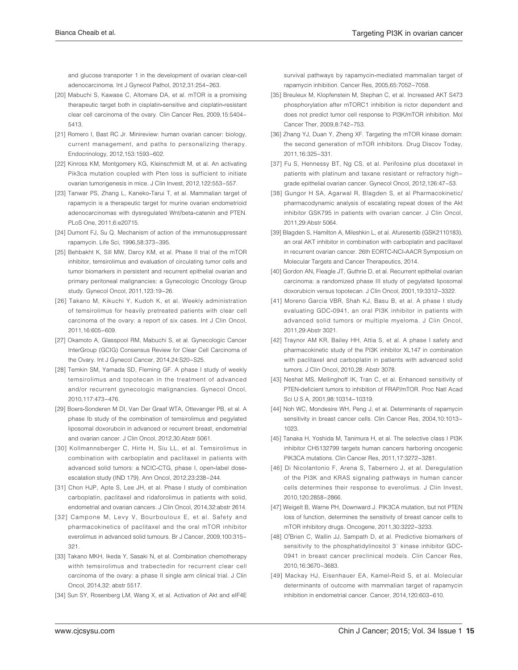and glucose transporter 1 in the development of ovarian clear-cell adenocarcinoma. Int J Gynecol Pathol, 2012,31:254-263

- [20] Mabuchi S, Kawase C, Altomare DA, et al. mTOR is a promising therapeutic target both in cisplatin-sensitive and cisplatin-resistant clear cell carcinoma of the ovary. Clin Cancer Res, 2009,15:5404-5413.
- [21] Romero I, Bast RC Jr. Minireview: human ovarian cancer: biology, current management, and paths to personalizing therapy. Endocrinology, 2012, 153: 1593-602.
- [22] Kinross KM, Montgomery KG, Kleinschmidt M, et al. An activating Pik3ca mutation coupled with Pten loss is sufficient to initiate ovarian tumorigenesis in mice. J Clin Invest, 2012, 122:553-557.
- [23] Tanwar PS, Zhang L, Kaneko-Tarui T, et al. Mammalian target of rapamycin is a therapeutic target for murine ovarian endometrioid adenocarcinomas with dysregulated Wnt/beta-catenin and PTEN. PLoS One. 2011.6:e20715.
- [24] Dumont FJ, Su Q. Mechanism of action of the immunosuppressant rapamycin. Life Sci, 1996,58:373-395.
- [25] Behbakht K, Sill MW, Darcy KM, et al. Phase II trial of the mTOR inhibitor, temsirolimus and evaluation of circulating tumor cells and tumor biomarkers in persistent and recurrent epithelial ovarian and primary peritoneal malignancies: a Gynecologic Oncology Group study. Gynecol Oncol, 2011, 123:19-26.
- [26] Takano M, Kikuchi Y, Kudoh K, et al. Weekly administration of temsirolimus for heavily pretreated patients with clear cell carcinoma of the ovary: a report of six cases. Int J Clin Oncol, 2011, 16:605-609
- [27] Okamoto A, Glasspool RM, Mabuchi S, et al. Gynecologic Cancer InterGroup (GCIG) Consensus Review for Clear Cell Carcinoma of the Ovary. Int J Gynecol Cancer, 2014,24:S20-S25.
- [28] Temkin SM, Yamada SD, Fleming GF. A phase I study of weekly temsirolimus and topotecan in the treatment of advanced and/or recurrent gynecologic malignancies. Gynecol Oncol, 2010, 117: 473 - 476.
- [29] Boers-Sonderen M DI, Van Der Graaf WTA, Ottevanger PB, et al. A phase Ib study of the combination of temsirolimus and pegylated liposomal doxorubcin in advanced or recurrent breast, endometrial and ovarian cancer. J Clin Oncol, 2012,30:Abstr 5061.
- [30] Kollmannsberger C, Hirte H, Siu LL, et al. Temsirolimus in combination with carboplatin and paclitaxel in patients with advanced solid tumors: a NCIC-CTG, phase I, open-label doseescalation study (IND 179). Ann Oncol, 2012, 23: 238-244.
- [31] Chon HJP, Apte S, Lee JH, et al. Phase I study of combination carboplatin, paclitaxel and ridaforolimus in patients with solid, endometrial and ovarian cancers. J Clin Oncol, 2014,32:abstr 2614.
- [32] Campone M, Levy V, Bourbouloux E, et al. Safety and pharmacokinetics of paclitaxel and the oral mTOR inhibitor everolimus in advanced solid tumours. Br J Cancer, 2009, 100:315-321.
- [33] Takano MKH, Ikeda Y, Sasaki N, et al. Combination chemotherapy withh temsirolimus and trabectedin for recurrent clear cell carcinoma of the ovary: a phase II single arm clinical trial. J Clin Oncol, 2014,32: abstr 5517.
- [34] Sun SY, Rosenberg LM, Wang X, et al. Activation of Akt and eIF4E

survival pathways by rapamycin-mediated mammalian target of rapamycin inhibition. Cancer Res, 2005,65:7052-7058.

- [35] Breuleux M, Klopfenstein M, Stephan C, et al. Increased AKT S473 phosphorylation after mTORC1 inhibition is rictor dependent and does not predict tumor cell response to PI3K/mTOR inhibition. Mol Cancer Ther. 2009.8:742-753.
- [36] Zhang YJ, Duan Y, Zheng XF. Targeting the mTOR kinase domain: the second generation of mTOR inhibitors. Drug Discov Today, 2011, 16:325-331
- [37] Fu S, Hennessy BT, Ng CS, et al. Perifosine plus docetaxel in patients with platinum and taxane resistant or refractory highgrade epithelial ovarian cancer. Gynecol Oncol, 2012,126:47-53.
- [38] Gungor H SA, Agarwal R, Blagden S, et al Pharmacokinetic/ pharmacodynamic analysis of escalating repeat doses of the Akt inhibitor GSK795 in patients with ovarian cancer. J Clin Oncol, 2011.29:Abstr 5064.
- [39] Blagden S, Hamilton A, Mileshkin L, et al. Afuresertib (GSK2110183), an oral AKT inhibitor in combination with carboplatin and paclitaxel in recurrent ovarian cancer. 26th EORTC-NCI-AACR Symposium on Molecular Targets and Cancer Therapeutics, 2014.
- [40] Gordon AN, Fleagle JT, Guthrie D, et al. Recurrent epithelial ovarian carcinoma: a randomized phase III study of pegylated liposomal doxorubicin versus topotecan. J Clin Oncol, 2001, 19:3312-3322.
- [41] Moreno Garcia VBR, Shah KJ, Basu B, et al. A phase I study evaluating GDC-0941, an oral PI3K inhibitor in patients with advanced solid tumors or multiple myeloma. J Clin Oncol, 2011.29: Abstr 3021.
- [42] Traynor AM KR, Bailey HH, Attia S, et al. A phase I safety and pharmacokinetic study of the PI3K inhibitor XL147 in combination with paclitaxel and carboplatin in patients with advanced solid tumors. J Clin Oncol, 2010,28: Abstr 3078.
- [43] Neshat MS, Mellinghoff IK, Tran C, et al. Enhanced sensitivity of PTEN-deficient tumors to inhibition of FRAP/mTOR Proc Natl Acad Sci U S A, 2001,98:10314-10319.
- [44] Noh WC, Mondesire WH, Peng J, et al. Determinants of rapamycin sensitivity in breast cancer cells. Clin Cancer Res, 2004,10:1013-1023
- [45] Tanaka H, Yoshida M, Tanimura H, et al. The selective class I PI3K inhibitor CH5132799 targets human cancers harboring oncogenic PIK3CA mutations. Clin Cancer Res, 2011, 17:3272-3281.
- [46] Di Nicolantonio F, Arena S, Tabernero J, et al. Deregulation of the PI3K and KRAS signaling pathways in human cancer cells determines their response to everolimus. J Clin Invest, 2010.120:2858-2866.
- [47] Weigelt B, Warne PH, Downward J. PIK3CA mutation, but not PTEN loss of function, determines the sensitivity of breast cancer cells to mTOR inhibitory drugs. Oncogene, 2011,30:3222-3233.
- [48] O'Brien C. Wallin JJ. Sampath D. et al. Predictive biomarkers of sensitivity to the phosphatidylinositol 3' kinase inhibitor GDC-0941 in breast cancer preclinical models. Clin Cancer Res, 2010 16:3670-3683
- [49] Mackay HJ, Eisenhauer EA, Kamel-Reid S, et al. Molecular determinants of outcome with mammalian target of rapamycin inhibition in endometrial cancer. Cancer, 2014, 120:603-610.